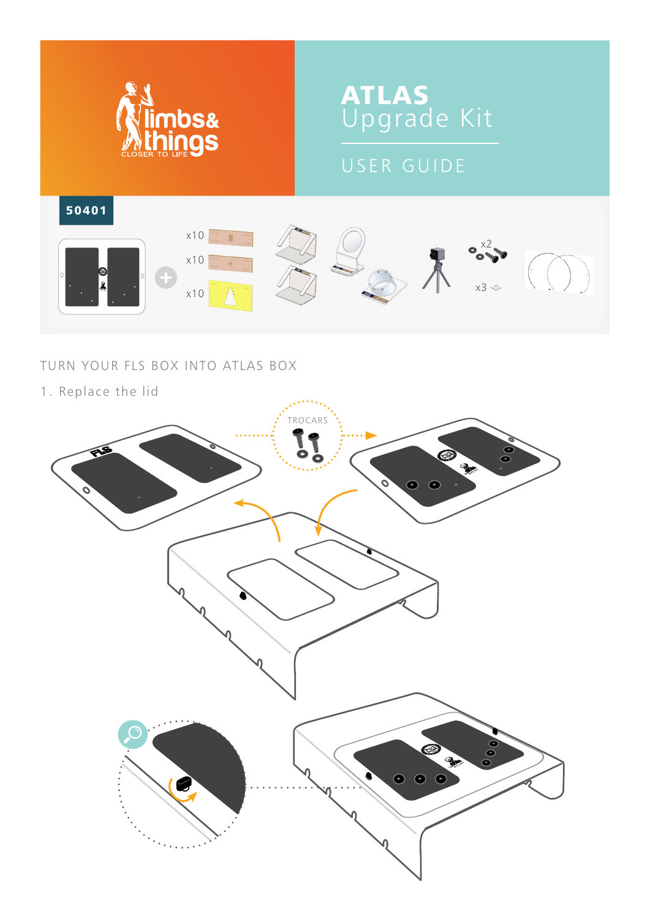

## TURN YOUR FLS BOX INTO ATLAS BOX

1. Replace the lid